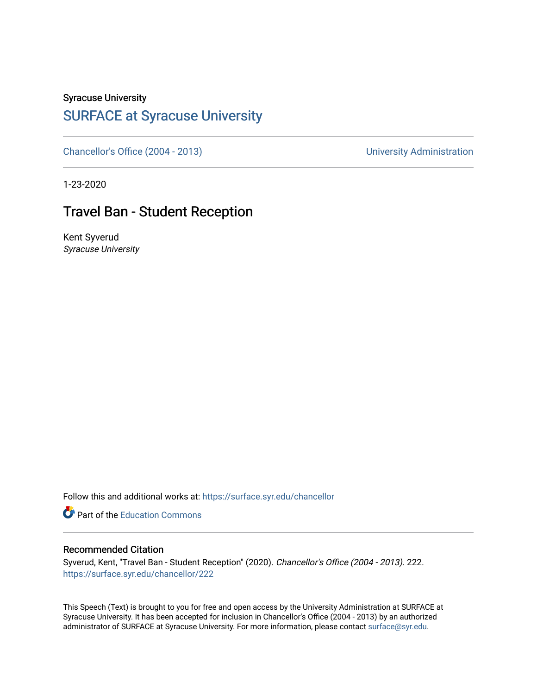Syracuse University

## [SURFACE at Syracuse University](https://surface.syr.edu/)

[Chancellor's Office \(2004 - 2013\)](https://surface.syr.edu/chancellor) Chancellor's Office (2004 - 2013)

1-23-2020

## Travel Ban - Student Reception

Kent Syverud Syracuse University

Follow this and additional works at: [https://surface.syr.edu/chancellor](https://surface.syr.edu/chancellor?utm_source=surface.syr.edu%2Fchancellor%2F222&utm_medium=PDF&utm_campaign=PDFCoverPages) 

**Part of the [Education Commons](http://network.bepress.com/hgg/discipline/784?utm_source=surface.syr.edu%2Fchancellor%2F222&utm_medium=PDF&utm_campaign=PDFCoverPages)** 

## Recommended Citation

Syverud, Kent, "Travel Ban - Student Reception" (2020). Chancellor's Office (2004 - 2013). 222. [https://surface.syr.edu/chancellor/222](https://surface.syr.edu/chancellor/222?utm_source=surface.syr.edu%2Fchancellor%2F222&utm_medium=PDF&utm_campaign=PDFCoverPages) 

This Speech (Text) is brought to you for free and open access by the University Administration at SURFACE at Syracuse University. It has been accepted for inclusion in Chancellor's Office (2004 - 2013) by an authorized administrator of SURFACE at Syracuse University. For more information, please contact [surface@syr.edu.](mailto:surface@syr.edu)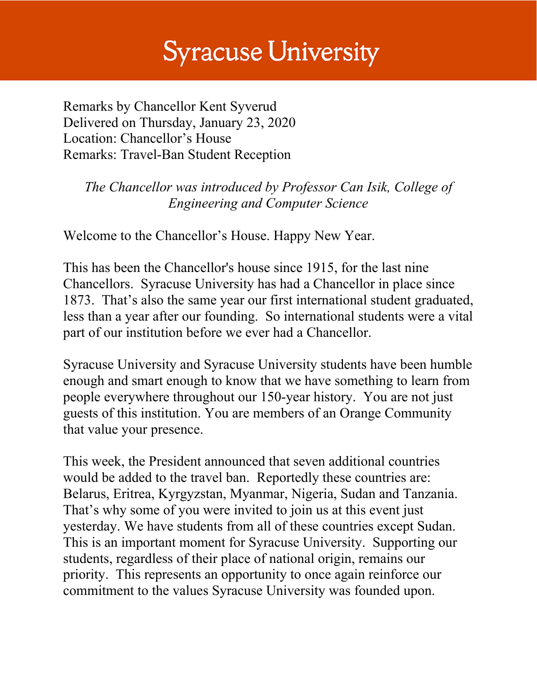## **Syracuse University**

Remarks by Chancellor Kent Syverud Delivered on Thursday, January 23, 2020 Location: Chancellor's House Remarks: Travel-Ban Student Reception

*The Chancellor was introduced by Professor Can Isik, College of Engineering and Computer Science*

Welcome to the Chancellor's House. Happy New Year.

This has been the Chancellor's house since 1915, for the last nine Chancellors. Syracuse University has had a Chancellor in place since 1873. That's also the same year our first international student graduated, less than a year after our founding. So international students were a vital part of our institution before we ever had a Chancellor.

Syracuse University and Syracuse University students have been humble enough and smart enough to know that we have something to learn from people everywhere throughout our 150-year history. You are not just guests of this institution. You are members of an Orange Community that value your presence.

This week, the President announced that seven additional countries would be added to the travel ban. Reportedly these countries are: Belarus, Eritrea, Kyrgyzstan, Myanmar, Nigeria, Sudan and Tanzania. That's why some of you were invited to join us at this event just yesterday. We have students from all of these countries except Sudan. This is an important moment for Syracuse University. Supporting our students, regardless of their place of national origin, remains our priority. This represents an opportunity to once again reinforce our commitment to the values Syracuse University was founded upon.